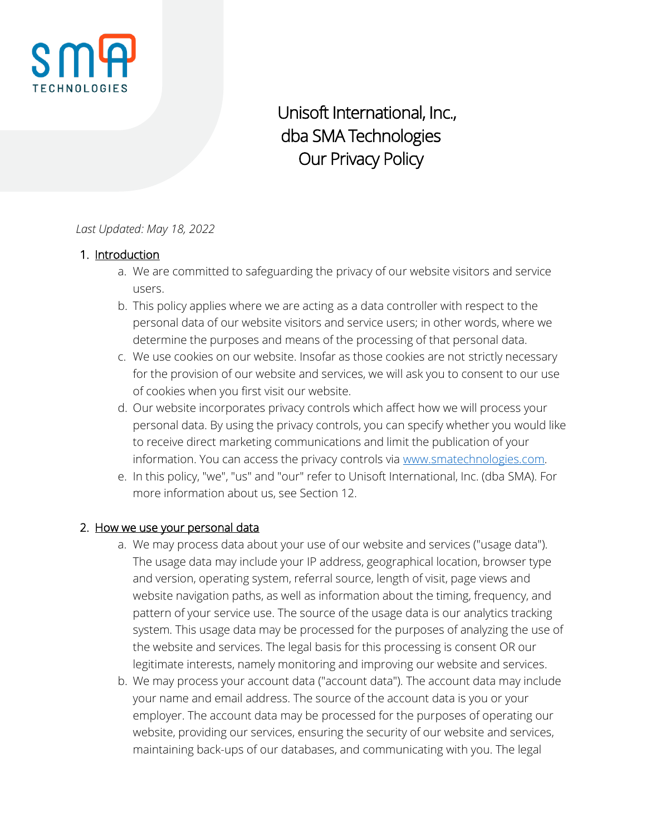

Unisoft International, Inc., dba SMA Technologies Our Privacy Policy

#### *Last Updated: May 18, 2022*

#### 1. Introduction

- a. We are committed to safeguarding the privacy of our website visitors and service users.
- b. This policy applies where we are acting as a data controller with respect to the personal data of our website visitors and service users; in other words, where we determine the purposes and means of the processing of that personal data.
- c. We use cookies on our website. Insofar as those cookies are not strictly necessary for the provision of our website and services, we will ask you to consent to our use of cookies when you first visit our website.
- d. Our website incorporates privacy controls which affect how we will process your personal data. By using the privacy controls, you can specify whether you would like to receive direct marketing communications and limit the publication of your information. You can access the privacy controls via [www.smatechnologies.com.](http://www.smatechnologies.com/)
- e. In this policy, "we", "us" and "our" refer to Unisoft International, Inc. (dba SMA). For more information about us, see Section 12.

#### 2. How we use your personal data

- a. We may process data about your use of our website and services ("usage data"). The usage data may include your IP address, geographical location, browser type and version, operating system, referral source, length of visit, page views and website navigation paths, as well as information about the timing, frequency, and pattern of your service use. The source of the usage data is our analytics tracking system. This usage data may be processed for the purposes of analyzing the use of the website and services. The legal basis for this processing is consent OR our legitimate interests, namely monitoring and improving our website and services.
- b. We may process your account data ("account data"). The account data may include your name and email address. The source of the account data is you or your employer. The account data may be processed for the purposes of operating our website, providing our services, ensuring the security of our website and services, maintaining back-ups of our databases, and communicating with you. The legal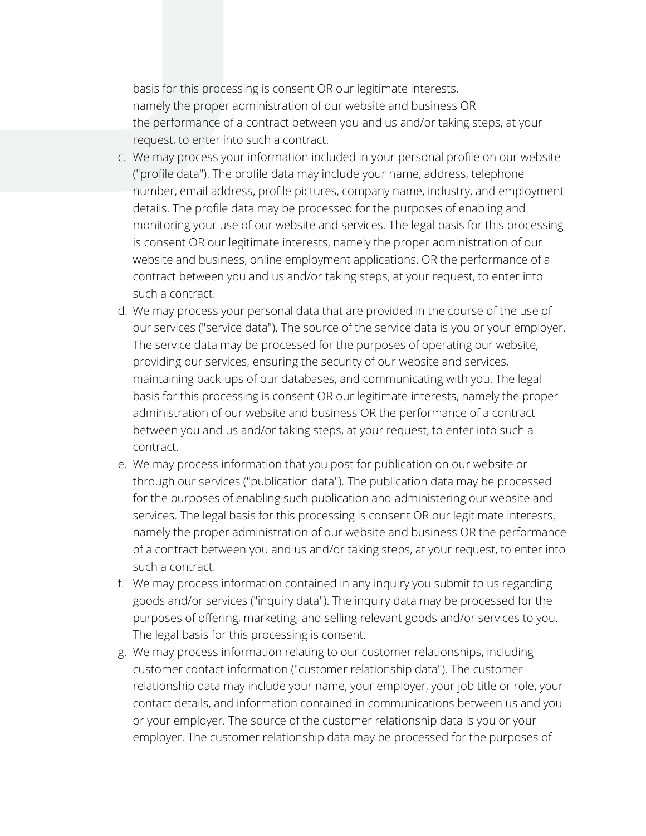basis for this processing is consent OR our legitimate interests, namely the proper administration of our website and business OR the performance of a contract between you and us and/or taking steps, at your request, to enter into such a contract.

- c. We may process your information included in your personal profile on our website ("profile data"). The profile data may include your name, address, telephone number, email address, profile pictures, company name, industry, and employment details. The profile data may be processed for the purposes of enabling and monitoring your use of our website and services. The legal basis for this processing is consent OR our legitimate interests, namely the proper administration of our website and business, online employment applications, OR the performance of a contract between you and us and/or taking steps, at your request, to enter into such a contract.
- d. We may process your personal data that are provided in the course of the use of our services ("service data"). The source of the service data is you or your employer. The service data may be processed for the purposes of operating our website, providing our services, ensuring the security of our website and services, maintaining back-ups of our databases, and communicating with you. The legal basis for this processing is consent OR our legitimate interests, namely the proper administration of our website and business OR the performance of a contract between you and us and/or taking steps, at your request, to enter into such a contract.
- e. We may process information that you post for publication on our website or through our services ("publication data"). The publication data may be processed for the purposes of enabling such publication and administering our website and services. The legal basis for this processing is consent OR our legitimate interests, namely the proper administration of our website and business OR the performance of a contract between you and us and/or taking steps, at your request, to enter into such a contract.
- f. We may process information contained in any inquiry you submit to us regarding goods and/or services ("inquiry data"). The inquiry data may be processed for the purposes of offering, marketing, and selling relevant goods and/or services to you. The legal basis for this processing is consent.
- g. We may process information relating to our customer relationships, including customer contact information ("customer relationship data"). The customer relationship data may include your name, your employer, your job title or role, your contact details, and information contained in communications between us and you or your employer. The source of the customer relationship data is you or your employer. The customer relationship data may be processed for the purposes of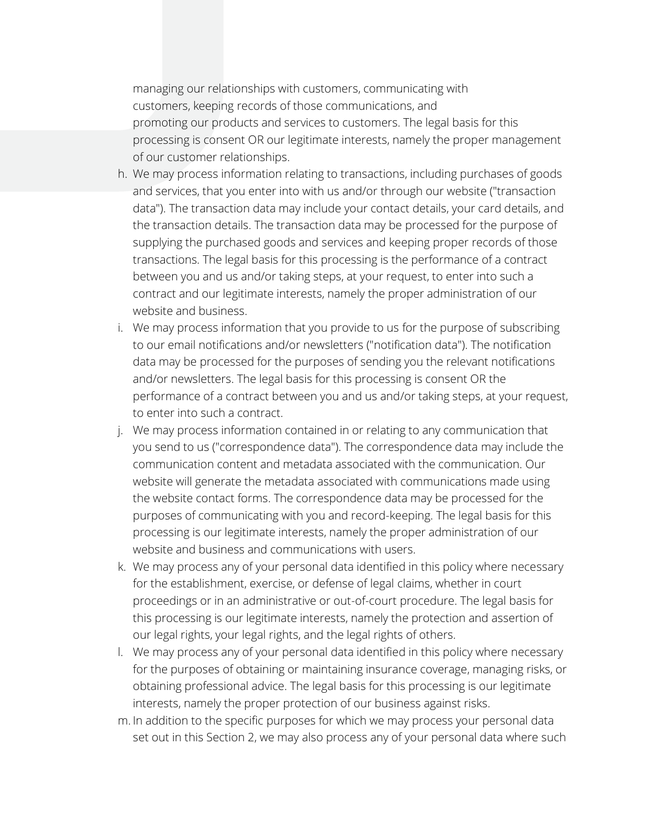managing our relationships with customers, communicating with customers, keeping records of those communications, and promoting our products and services to customers. The legal basis for this processing is consent OR our legitimate interests, namely the proper management of our customer relationships.

- h. We may process information relating to transactions, including purchases of goods and services, that you enter into with us and/or through our website ("transaction data"). The transaction data may include your contact details, your card details, and the transaction details. The transaction data may be processed for the purpose of supplying the purchased goods and services and keeping proper records of those transactions. The legal basis for this processing is the performance of a contract between you and us and/or taking steps, at your request, to enter into such a contract and our legitimate interests, namely the proper administration of our website and business.
- i. We may process information that you provide to us for the purpose of subscribing to our email notifications and/or newsletters ("notification data"). The notification data may be processed for the purposes of sending you the relevant notifications and/or newsletters. The legal basis for this processing is consent OR the performance of a contract between you and us and/or taking steps, at your request, to enter into such a contract.
- j. We may process information contained in or relating to any communication that you send to us ("correspondence data"). The correspondence data may include the communication content and metadata associated with the communication. Our website will generate the metadata associated with communications made using the website contact forms. The correspondence data may be processed for the purposes of communicating with you and record-keeping. The legal basis for this processing is our legitimate interests, namely the proper administration of our website and business and communications with users.
- k. We may process any of your personal data identified in this policy where necessary for the establishment, exercise, or defense of legal claims, whether in court proceedings or in an administrative or out-of-court procedure. The legal basis for this processing is our legitimate interests, namely the protection and assertion of our legal rights, your legal rights, and the legal rights of others.
- l. We may process any of your personal data identified in this policy where necessary for the purposes of obtaining or maintaining insurance coverage, managing risks, or obtaining professional advice. The legal basis for this processing is our legitimate interests, namely the proper protection of our business against risks.
- m. In addition to the specific purposes for which we may process your personal data set out in this Section 2, we may also process any of your personal data where such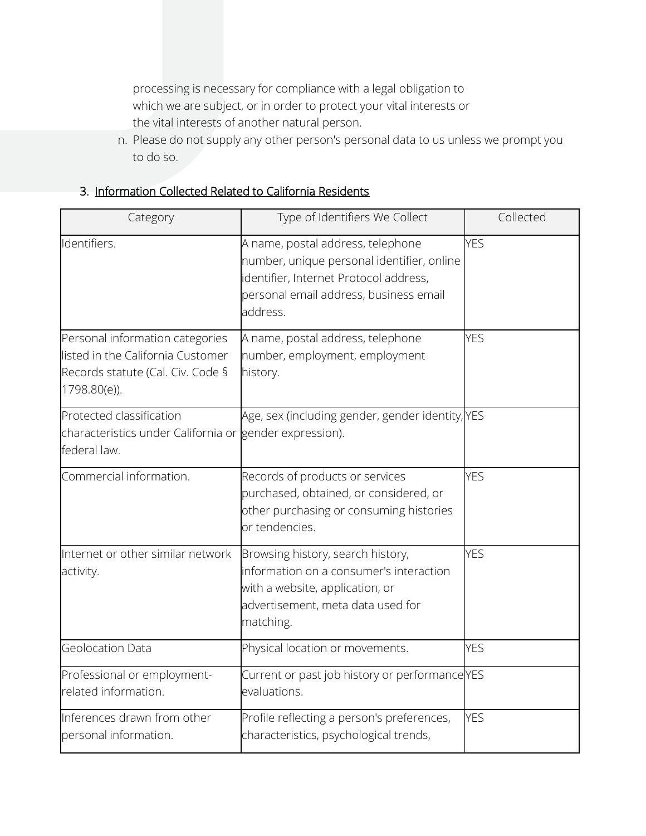processing is necessary for compliance with a legal obligation to which we are subject, or in order to protect your vital interests or the vital interests of another natural person.

n. Please do not supply any other person's personal data to us unless we prompt you to do so.

| Category                                                                                                                  | Type of Identifiers We Collect                                                                                                                                                  | Collected  |
|---------------------------------------------------------------------------------------------------------------------------|---------------------------------------------------------------------------------------------------------------------------------------------------------------------------------|------------|
| Identifiers.                                                                                                              | A name, postal address, telephone<br>number, unique personal identifier, online<br>identifier, Internet Protocol address,<br>personal email address, business email<br>address. | <b>YES</b> |
| Personal information categories<br>listed in the California Customer<br>Records statute (Cal. Civ. Code §<br>1798.80(e)). | A name, postal address, telephone<br>number, employment, employment<br>history.                                                                                                 | <b>YES</b> |
| Protected classification<br>characteristics under California or gender expression).<br>federal law.                       | Age, sex (including gender, gender identity, YES                                                                                                                                |            |
| Commercial information.                                                                                                   | Records of products or services<br>purchased, obtained, or considered, or<br>other purchasing or consuming histories<br>or tendencies.                                          | <b>YES</b> |
| Internet or other similar network<br>activity.                                                                            | Browsing history, search history,<br>information on a consumer's interaction<br>with a website, application, or<br>advertisement, meta data used for<br>matching.               | <b>YES</b> |
| Geolocation Data                                                                                                          | Physical location or movements.                                                                                                                                                 | <b>YES</b> |
| Professional or employment-<br>related information.                                                                       | Current or past job history or performance YES<br>evaluations.                                                                                                                  |            |
| Inferences drawn from other<br>personal information.                                                                      | Profile reflecting a person's preferences,<br>characteristics, psychological trends,                                                                                            | <b>YES</b> |

# 3. Information Collected Related to California Residents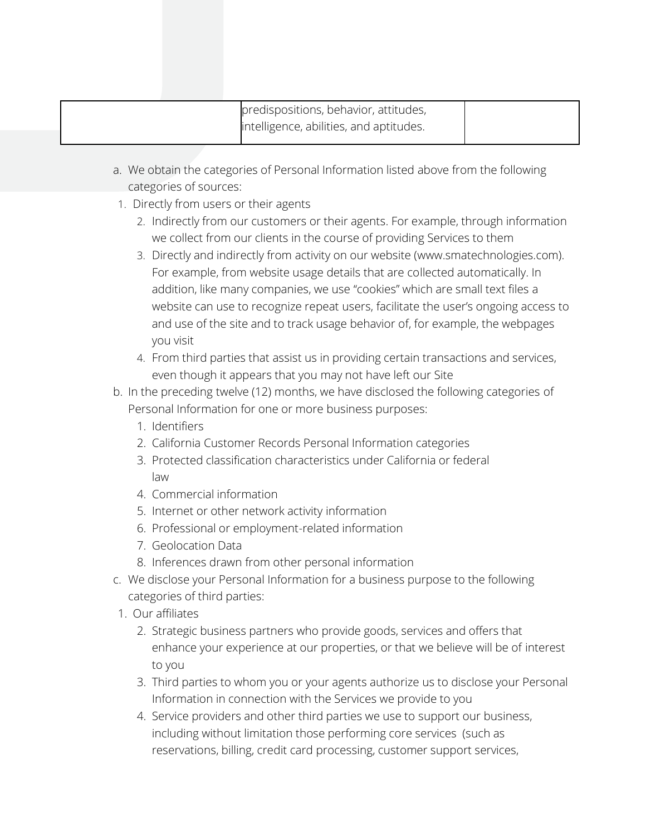| predispositions, behavior, attitudes,   |  |
|-----------------------------------------|--|
| intelligence, abilities, and aptitudes. |  |

- a. We obtain the categories of Personal Information listed above from the following categories of sources:
- 1. Directly from users or their agents
	- 2. Indirectly from our customers or their agents. For example, through information we collect from our clients in the course of providing Services to them
	- 3. Directly and indirectly from activity on our website (www.smatechnologies.com). For example, from website usage details that are collected automatically. In addition, like many companies, we use "cookies" which are small text files a website can use to recognize repeat users, facilitate the user's ongoing access to and use of the site and to track usage behavior of, for example, the webpages you visit
	- 4. From third parties that assist us in providing certain transactions and services, even though it appears that you may not have left our Site
- b. In the preceding twelve (12) months, we have disclosed the following categories of Personal Information for one or more business purposes:
	- 1. Identifiers
	- 2. California Customer Records Personal Information categories
	- 3. Protected classification characteristics under California or federal law
	- 4. Commercial information
	- 5. Internet or other network activity information
	- 6. Professional or employment-related information
	- 7. Geolocation Data
	- 8. Inferences drawn from other personal information
- c. We disclose your Personal Information for a business purpose to the following categories of third parties:
- 1. Our affiliates
	- 2. Strategic business partners who provide goods, services and offers that enhance your experience at our properties, or that we believe will be of interest to you
	- 3. Third parties to whom you or your agents authorize us to disclose your Personal Information in connection with the Services we provide to you
	- 4. Service providers and other third parties we use to support our business, including without limitation those performing core services (such as reservations, billing, credit card processing, customer support services,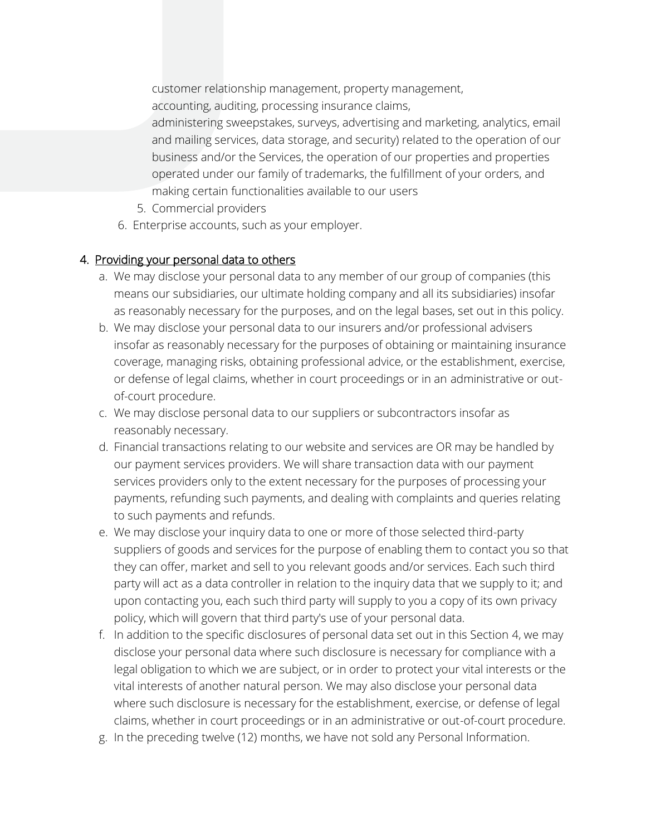customer relationship management, property management, accounting, auditing, processing insurance claims,

- administering sweepstakes, surveys, advertising and marketing, analytics, email and mailing services, data storage, and security) related to the operation of our business and/or the Services, the operation of our properties and properties operated under our family of trademarks, the fulfillment of your orders, and making certain functionalities available to our users
- 5. Commercial providers
- 6. Enterprise accounts, such as your employer.

# 4. Providing your personal data to others

- a. We may disclose your personal data to any member of our group of companies (this means our subsidiaries, our ultimate holding company and all its subsidiaries) insofar as reasonably necessary for the purposes, and on the legal bases, set out in this policy.
- b. We may disclose your personal data to our insurers and/or professional advisers insofar as reasonably necessary for the purposes of obtaining or maintaining insurance coverage, managing risks, obtaining professional advice, or the establishment, exercise, or defense of legal claims, whether in court proceedings or in an administrative or outof-court procedure.
- c. We may disclose personal data to our suppliers or subcontractors insofar as reasonably necessary.
- d. Financial transactions relating to our website and services are OR may be handled by our payment services providers. We will share transaction data with our payment services providers only to the extent necessary for the purposes of processing your payments, refunding such payments, and dealing with complaints and queries relating to such payments and refunds.
- e. We may disclose your inquiry data to one or more of those selected third-party suppliers of goods and services for the purpose of enabling them to contact you so that they can offer, market and sell to you relevant goods and/or services. Each such third party will act as a data controller in relation to the inquiry data that we supply to it; and upon contacting you, each such third party will supply to you a copy of its own privacy policy, which will govern that third party's use of your personal data.
- f. In addition to the specific disclosures of personal data set out in this Section 4, we may disclose your personal data where such disclosure is necessary for compliance with a legal obligation to which we are subject, or in order to protect your vital interests or the vital interests of another natural person. We may also disclose your personal data where such disclosure is necessary for the establishment, exercise, or defense of legal claims, whether in court proceedings or in an administrative or out-of-court procedure.
- g. In the preceding twelve (12) months, we have not sold any Personal Information.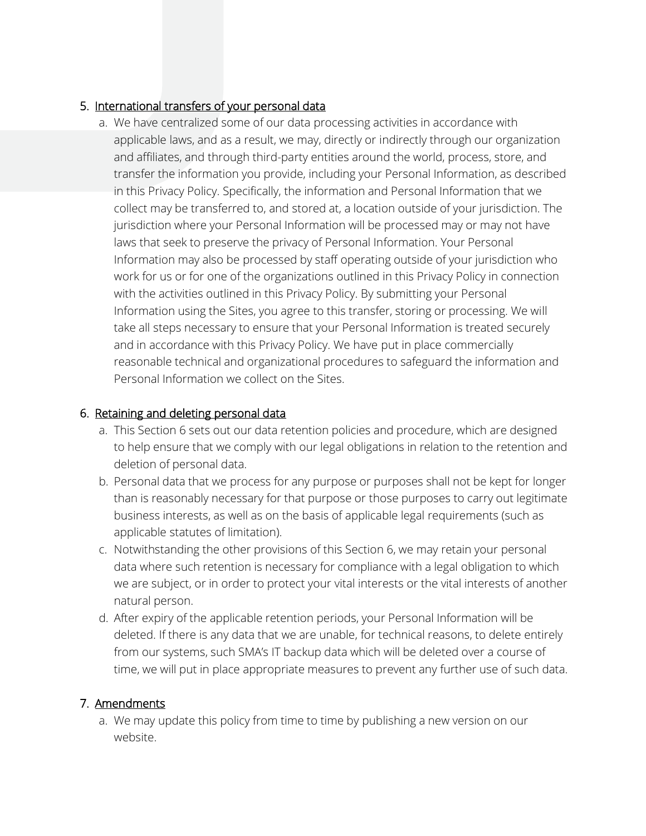## 5. International transfers of your personal data

a. We have centralized some of our data processing activities in accordance with applicable laws, and as a result, we may, directly or indirectly through our organization and affiliates, and through third-party entities around the world, process, store, and transfer the information you provide, including your Personal Information, as described in this Privacy Policy. Specifically, the information and Personal Information that we collect may be transferred to, and stored at, a location outside of your jurisdiction. The jurisdiction where your Personal Information will be processed may or may not have laws that seek to preserve the privacy of Personal Information. Your Personal Information may also be processed by staff operating outside of your jurisdiction who work for us or for one of the organizations outlined in this Privacy Policy in connection with the activities outlined in this Privacy Policy. By submitting your Personal Information using the Sites, you agree to this transfer, storing or processing. We will take all steps necessary to ensure that your Personal Information is treated securely and in accordance with this Privacy Policy. We have put in place commercially reasonable technical and organizational procedures to safeguard the information and Personal Information we collect on the Sites.

## 6. Retaining and deleting personal data

- a. This Section 6 sets out our data retention policies and procedure, which are designed to help ensure that we comply with our legal obligations in relation to the retention and deletion of personal data.
- b. Personal data that we process for any purpose or purposes shall not be kept for longer than is reasonably necessary for that purpose or those purposes to carry out legitimate business interests, as well as on the basis of applicable legal requirements (such as applicable statutes of limitation).
- c. Notwithstanding the other provisions of this Section 6, we may retain your personal data where such retention is necessary for compliance with a legal obligation to which we are subject, or in order to protect your vital interests or the vital interests of another natural person.
- d. After expiry of the applicable retention periods, your Personal Information will be deleted. If there is any data that we are unable, for technical reasons, to delete entirely from our systems, such SMA's IT backup data which will be deleted over a course of time, we will put in place appropriate measures to prevent any further use of such data.

# 7. Amendments

a. We may update this policy from time to time by publishing a new version on our website.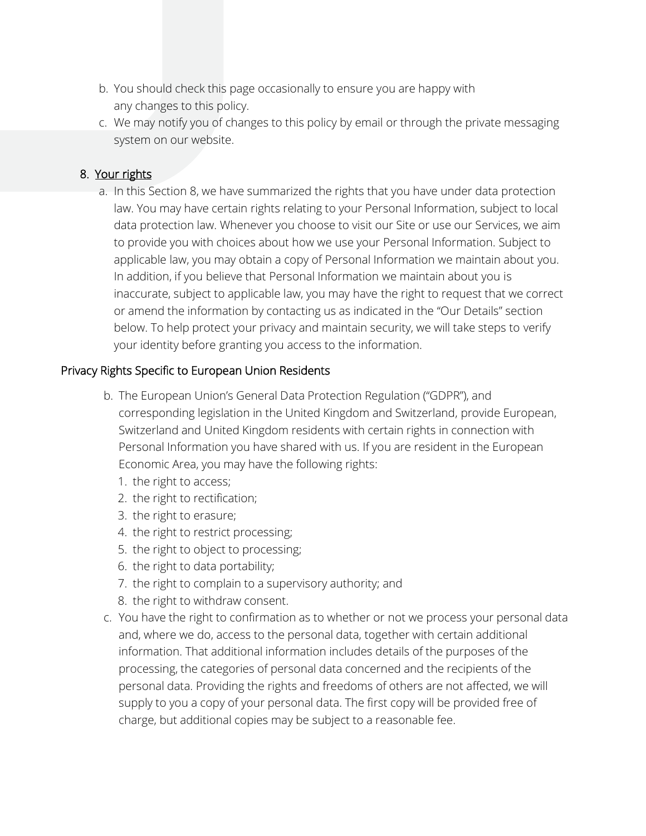- b. You should check this page occasionally to ensure you are happy with any changes to this policy.
- c. We may notify you of changes to this policy by email or through the private messaging system on our website.

## 8. Your rights

a. In this Section 8, we have summarized the rights that you have under data protection law. You may have certain rights relating to your Personal Information, subject to local data protection law. Whenever you choose to visit our Site or use our Services, we aim to provide you with choices about how we use your Personal Information. Subject to applicable law, you may obtain a copy of Personal Information we maintain about you. In addition, if you believe that Personal Information we maintain about you is inaccurate, subject to applicable law, you may have the right to request that we correct or amend the information by contacting us as indicated in the "Our Details" section below. To help protect your privacy and maintain security, we will take steps to verify your identity before granting you access to the information.

#### Privacy Rights Specific to European Union Residents

- b. The European Union's General Data Protection Regulation ("GDPR"), and corresponding legislation in the United Kingdom and Switzerland, provide European, Switzerland and United Kingdom residents with certain rights in connection with Personal Information you have shared with us. If you are resident in the European Economic Area, you may have the following rights:
	- 1. the right to access;
	- 2. the right to rectification;
	- 3. the right to erasure;
	- 4. the right to restrict processing;
	- 5. the right to object to processing;
	- 6. the right to data portability;
	- 7. the right to complain to a supervisory authority; and
	- 8. the right to withdraw consent.
- c. You have the right to confirmation as to whether or not we process your personal data and, where we do, access to the personal data, together with certain additional information. That additional information includes details of the purposes of the processing, the categories of personal data concerned and the recipients of the personal data. Providing the rights and freedoms of others are not affected, we will supply to you a copy of your personal data. The first copy will be provided free of charge, but additional copies may be subject to a reasonable fee.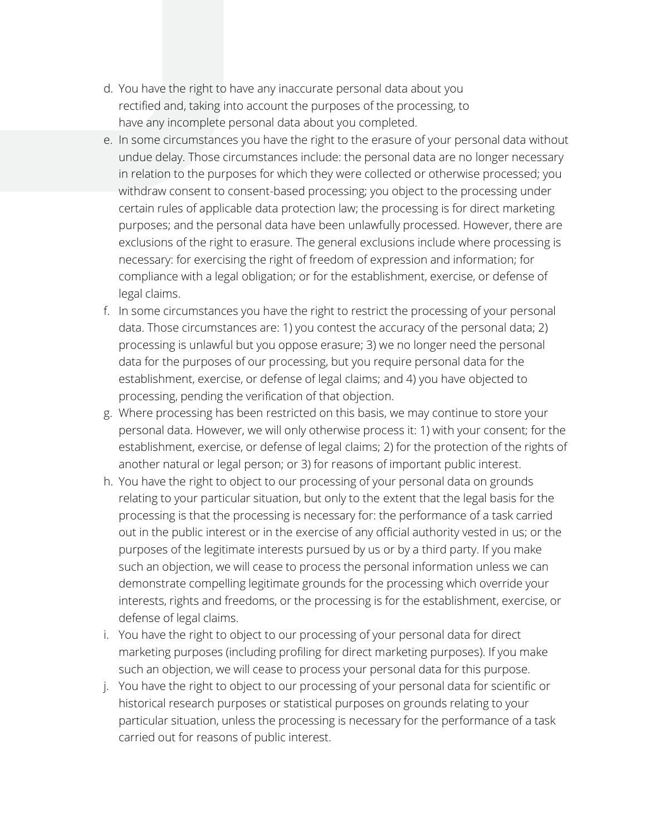- d. You have the right to have any inaccurate personal data about you rectified and, taking into account the purposes of the processing, to have any incomplete personal data about you completed.
- e. In some circumstances you have the right to the erasure of your personal data without undue delay. Those circumstances include: the personal data are no longer necessary in relation to the purposes for which they were collected or otherwise processed; you withdraw consent to consent-based processing; you object to the processing under certain rules of applicable data protection law; the processing is for direct marketing purposes; and the personal data have been unlawfully processed. However, there are exclusions of the right to erasure. The general exclusions include where processing is necessary: for exercising the right of freedom of expression and information; for compliance with a legal obligation; or for the establishment, exercise, or defense of legal claims.
- f. In some circumstances you have the right to restrict the processing of your personal data. Those circumstances are: 1) you contest the accuracy of the personal data; 2) processing is unlawful but you oppose erasure; 3) we no longer need the personal data for the purposes of our processing, but you require personal data for the establishment, exercise, or defense of legal claims; and 4) you have objected to processing, pending the verification of that objection.
- g. Where processing has been restricted on this basis, we may continue to store your personal data. However, we will only otherwise process it: 1) with your consent; for the establishment, exercise, or defense of legal claims; 2) for the protection of the rights of another natural or legal person; or 3) for reasons of important public interest.
- h. You have the right to object to our processing of your personal data on grounds relating to your particular situation, but only to the extent that the legal basis for the processing is that the processing is necessary for: the performance of a task carried out in the public interest or in the exercise of any official authority vested in us; or the purposes of the legitimate interests pursued by us or by a third party. If you make such an objection, we will cease to process the personal information unless we can demonstrate compelling legitimate grounds for the processing which override your interests, rights and freedoms, or the processing is for the establishment, exercise, or defense of legal claims.
- i. You have the right to object to our processing of your personal data for direct marketing purposes (including profiling for direct marketing purposes). If you make such an objection, we will cease to process your personal data for this purpose.
- j. You have the right to object to our processing of your personal data for scientific or historical research purposes or statistical purposes on grounds relating to your particular situation, unless the processing is necessary for the performance of a task carried out for reasons of public interest.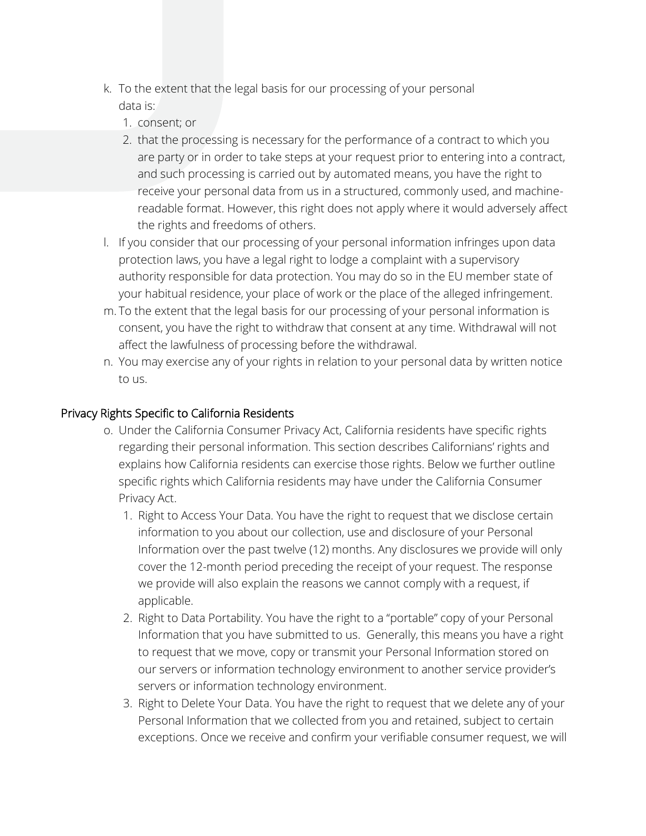- k. To the extent that the legal basis for our processing of your personal data is:
	- 1. consent; or
	- 2. that the processing is necessary for the performance of a contract to which you are party or in order to take steps at your request prior to entering into a contract, and such processing is carried out by automated means, you have the right to receive your personal data from us in a structured, commonly used, and machinereadable format. However, this right does not apply where it would adversely affect the rights and freedoms of others.
- l. If you consider that our processing of your personal information infringes upon data protection laws, you have a legal right to lodge a complaint with a supervisory authority responsible for data protection. You may do so in the EU member state of your habitual residence, your place of work or the place of the alleged infringement.
- m. To the extent that the legal basis for our processing of your personal information is consent, you have the right to withdraw that consent at any time. Withdrawal will not affect the lawfulness of processing before the withdrawal.
- n. You may exercise any of your rights in relation to your personal data by written notice to us.

### Privacy Rights Specific to California Residents

- o. Under the California Consumer Privacy Act, California residents have specific rights regarding their personal information. This section describes Californians' rights and explains how California residents can exercise those rights. Below we further outline specific rights which California residents may have under the California Consumer Privacy Act.
	- 1. Right to Access Your Data. You have the right to request that we disclose certain information to you about our collection, use and disclosure of your Personal Information over the past twelve (12) months. Any disclosures we provide will only cover the 12-month period preceding the receipt of your request. The response we provide will also explain the reasons we cannot comply with a request, if applicable.
	- 2. Right to Data Portability. You have the right to a "portable" copy of your Personal Information that you have submitted to us. Generally, this means you have a right to request that we move, copy or transmit your Personal Information stored on our servers or information technology environment to another service provider's servers or information technology environment.
	- 3. Right to Delete Your Data. You have the right to request that we delete any of your Personal Information that we collected from you and retained, subject to certain exceptions. Once we receive and confirm your verifiable consumer request, we will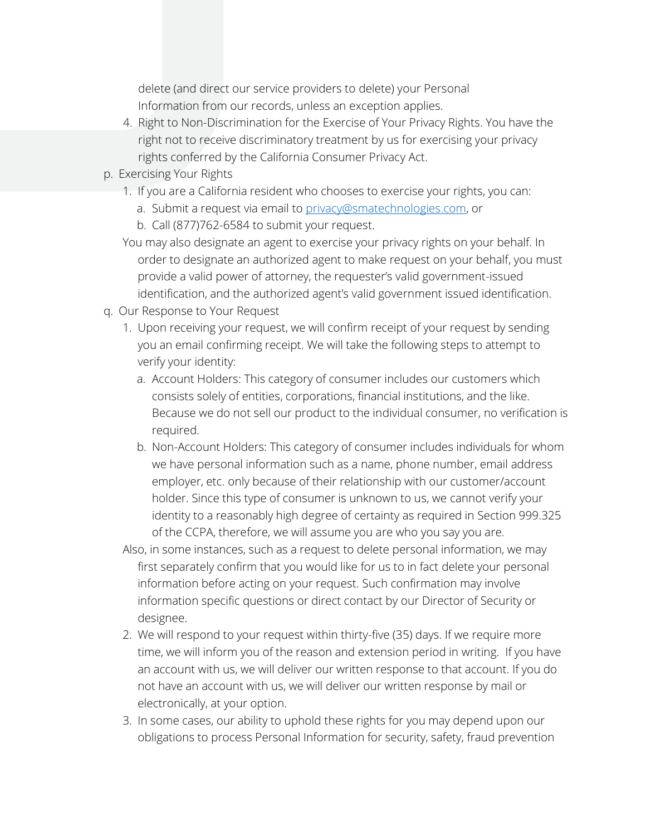delete (and direct our service providers to delete) your Personal Information from our records, unless an exception applies.

- 4. Right to Non-Discrimination for the Exercise of Your Privacy Rights. You have the right not to receive discriminatory treatment by us for exercising your privacy rights conferred by the California Consumer Privacy Act.
- p. Exercising Your Rights
	- 1. If you are a California resident who chooses to exercise your rights, you can:
		- a. Submit a request via email to [privacy@smatechnologies.com,](https://sma1980-my.sharepoint.com/personal/tmayes_smatechnologies_com/Documents/Special%20Projects/Website%20Privacy%20Policy/privacy@smatechnologies.com) or
		- b. Call (877)762-6584 to submit your request.
	- You may also designate an agent to exercise your privacy rights on your behalf. In order to designate an authorized agent to make request on your behalf, you must provide a valid power of attorney, the requester's valid government-issued identification, and the authorized agent's valid government issued identification.
- q. Our Response to Your Request
	- 1. Upon receiving your request, we will confirm receipt of your request by sending you an email confirming receipt. We will take the following steps to attempt to verify your identity:
		- a. Account Holders: This category of consumer includes our customers which consists solely of entities, corporations, financial institutions, and the like. Because we do not sell our product to the individual consumer, no verification is required.
		- b. Non-Account Holders: This category of consumer includes individuals for whom we have personal information such as a name, phone number, email address employer, etc. only because of their relationship with our customer/account holder. Since this type of consumer is unknown to us, we cannot verify your identity to a reasonably high degree of certainty as required in Section 999.325 of the CCPA, therefore, we will assume you are who you say you are.
	- Also, in some instances, such as a request to delete personal information, we may first separately confirm that you would like for us to in fact delete your personal information before acting on your request. Such confirmation may involve information specific questions or direct contact by our Director of Security or designee.
	- 2. We will respond to your request within thirty-five (35) days. If we require more time, we will inform you of the reason and extension period in writing. If you have an account with us, we will deliver our written response to that account. If you do not have an account with us, we will deliver our written response by mail or electronically, at your option.
	- 3. In some cases, our ability to uphold these rights for you may depend upon our obligations to process Personal Information for security, safety, fraud prevention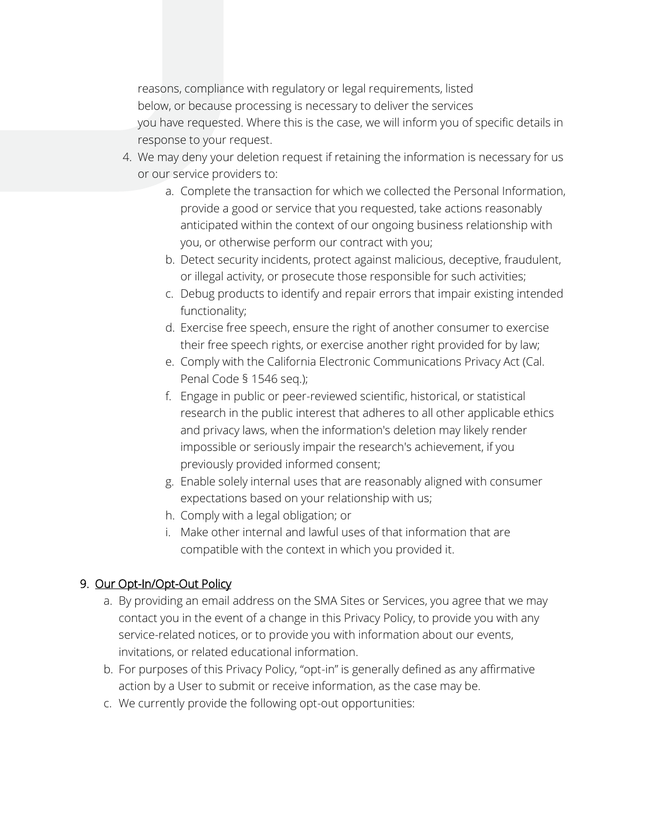reasons, compliance with regulatory or legal requirements, listed below, or because processing is necessary to deliver the services you have requested. Where this is the case, we will inform you of specific details in response to your request.

- 4. We may deny your deletion request if retaining the information is necessary for us or our service providers to:
	- a. Complete the transaction for which we collected the Personal Information, provide a good or service that you requested, take actions reasonably anticipated within the context of our ongoing business relationship with you, or otherwise perform our contract with you;
	- b. Detect security incidents, protect against malicious, deceptive, fraudulent, or illegal activity, or prosecute those responsible for such activities;
	- c. Debug products to identify and repair errors that impair existing intended functionality;
	- d. Exercise free speech, ensure the right of another consumer to exercise their free speech rights, or exercise another right provided for by law;
	- e. Comply with the California Electronic Communications Privacy Act (Cal. Penal Code § 1546 seq.);
	- f. Engage in public or peer-reviewed scientific, historical, or statistical research in the public interest that adheres to all other applicable ethics and privacy laws, when the information's deletion may likely render impossible or seriously impair the research's achievement, if you previously provided informed consent;
	- g. Enable solely internal uses that are reasonably aligned with consumer expectations based on your relationship with us;
	- h. Comply with a legal obligation; or
	- i. Make other internal and lawful uses of that information that are compatible with the context in which you provided it.

#### 9. Our Opt-In/Opt-Out Policy

- a. By providing an email address on the SMA Sites or Services, you agree that we may contact you in the event of a change in this Privacy Policy, to provide you with any service-related notices, or to provide you with information about our events, invitations, or related educational information.
- b. For purposes of this Privacy Policy, "opt-in" is generally defined as any affirmative action by a User to submit or receive information, as the case may be.
- c. We currently provide the following opt-out opportunities: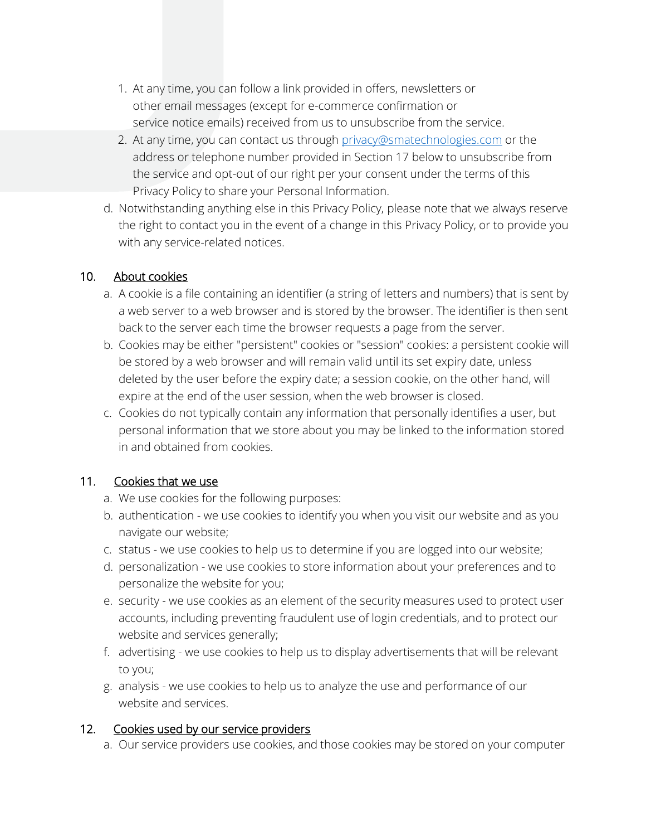- 1. At any time, you can follow a link provided in offers, newsletters or other email messages (except for e-commerce confirmation or service notice emails) received from us to unsubscribe from the service.
- 2. At any time, you can contact us through [privacy@smatechnologies.com](https://sma1980-my.sharepoint.com/personal/tmayes_smatechnologies_com/Documents/Special%20Projects/Website%20Privacy%20Policy/privacy@smatechnologies.com) or the address or telephone number provided in Section 17 below to unsubscribe from the service and opt-out of our right per your consent under the terms of this Privacy Policy to share your Personal Information.
- d. Notwithstanding anything else in this Privacy Policy, please note that we always reserve the right to contact you in the event of a change in this Privacy Policy, or to provide you with any service-related notices.

#### 10. About cookies

- a. A cookie is a file containing an identifier (a string of letters and numbers) that is sent by a web server to a web browser and is stored by the browser. The identifier is then sent back to the server each time the browser requests a page from the server.
- b. Cookies may be either "persistent" cookies or "session" cookies: a persistent cookie will be stored by a web browser and will remain valid until its set expiry date, unless deleted by the user before the expiry date; a session cookie, on the other hand, will expire at the end of the user session, when the web browser is closed.
- c. Cookies do not typically contain any information that personally identifies a user, but personal information that we store about you may be linked to the information stored in and obtained from cookies.

# 11. Cookies that we use

- a. We use cookies for the following purposes:
- b. authentication we use cookies to identify you when you visit our website and as you navigate our website;
- c. status we use cookies to help us to determine if you are logged into our website;
- d. personalization we use cookies to store information about your preferences and to personalize the website for you;
- e. security we use cookies as an element of the security measures used to protect user accounts, including preventing fraudulent use of login credentials, and to protect our website and services generally;
- f. advertising we use cookies to help us to display advertisements that will be relevant to you;
- g. analysis we use cookies to help us to analyze the use and performance of our website and services.

#### 12. Cookies used by our service providers

a. Our service providers use cookies, and those cookies may be stored on your computer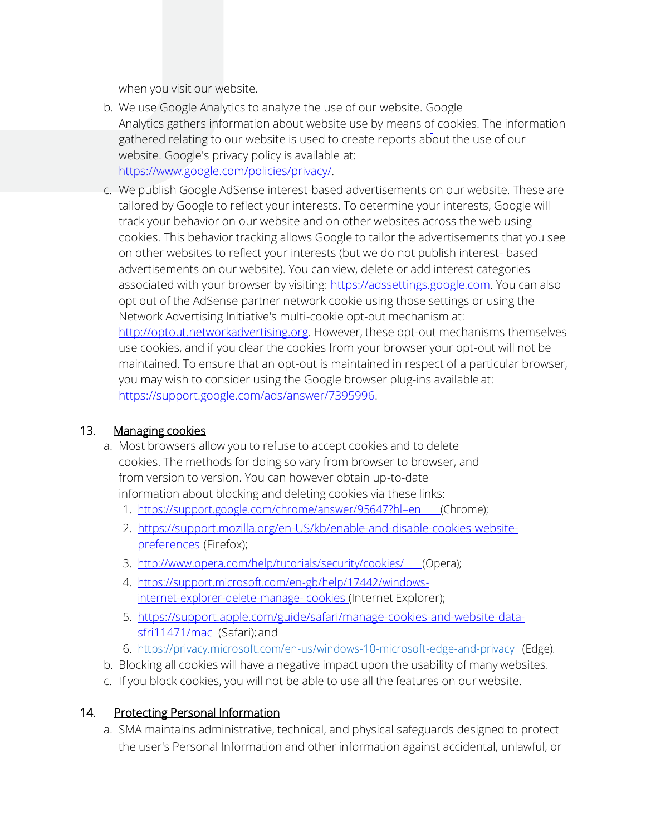when you visit our website.

- b. We use Google Analytics to analyze the use of our website. Google Analytics gathers information about website use by means of cookies. The information gathered relating to our website is used to create reports about the use of our website. Google's privacy policy is available [at:](https://www.google.com/policies/privacy/) [https://www.google.com/policies/privacy/.](https://www.google.com/policies/privacy/)
- c. We publish Google AdSense interest-based advertisements on our website. These are tailored by Google to reflect your interests. To determine your interests, Google will track your behavior on our website and on other websites across the web using cookies. This behavior tracking allows Google to tailor the advertisements that you see on other websites to reflect your interests (but we do not publish interest- based advertisements on our website). You can view, delete or add interest categories associated with your browser by visiting: [https://adssettings.google.com.](https://adssettings.google.com/) You can also opt out of the AdSense partner network cookie using those settings or using the Network Advertising Initiative's multi-cookie opt-out mechanism a[t:](http://optout.networkadvertising.org/) [http://optout.networkadvertising.org.](http://optout.networkadvertising.org/) However, these opt-out mechanisms themselves use cookies, and if you clear the cookies from your browser your opt-out will not be maintained. To ensure that an opt-out is maintained in respect of a particular browser, you may wish to consider using the Google browser plug-ins available a[t:](https://support.google.com/ads/answer/7395996) [https://support.google.com/ads/answer/7395996.](https://support.google.com/ads/answer/7395996)

#### 13. Managing cookies

- a. Most browsers allow you to refuse to accept cookies and to delete cookies. The methods for doing so vary from browser to browser, and from version to version. You can however obtain up-to-date information about blocking and deleting cookies via these links:
	- 1. [https://support.google.com/chrome/answer/95647?hl=en \(](https://support.google.com/chrome/answer/95647?hl=en)Chrome);
	- 2. [https://support.mozilla.org/en-US/kb/enable-and-disable-cookies-website](https://support.mozilla.org/en-US/kb/enable-and-disable-cookies-website-preferences)[preferences](https://support.mozilla.org/en-US/kb/enable-and-disable-cookies-website-preferences) (Firefox);
	- 3. [http://www.opera.com/help/tutorials/security/cookies/ \(](http://www.opera.com/help/tutorials/security/cookies/)Opera);
	- 4. [https://support.microsoft.com/en-gb/help/17442/windows](https://support.microsoft.com/en-gb/help/17442/windows-internet-explorer-delete-manage-cookies)[internet-explorer-delete-manage-](https://support.microsoft.com/en-gb/help/17442/windows-internet-explorer-delete-manage-cookies) [cookies \(I](https://support.microsoft.com/en-gb/help/17442/windows-internet-explorer-delete-manage-cookies)nternet Explorer);
	- 5. https://support.apple.com/guide/safari/manage-cookies-and-website-datasfri11471/mac (Safari); and
	- 6. [https://privacy.microsoft.com/en-us/windows-10-microsoft-edge-and-privacy \(](https://privacy.microsoft.com/en-us/windows-10-microsoft-edge-and-privacy)Edge).
- b. Blocking all cookies will have a negative impact upon the usability of many websites.
- c. If you block cookies, you will not be able to use all the features on our website.

#### 14. Protecting Personal Information

a. SMA maintains administrative, technical, and physical safeguards designed to protect the user's Personal Information and other information against accidental, unlawful, or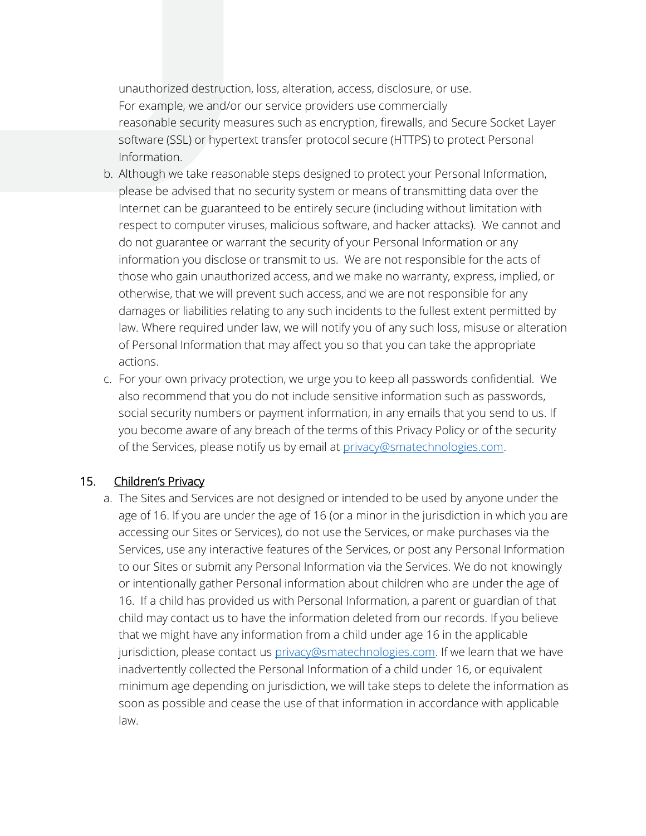unauthorized destruction, loss, alteration, access, disclosure, or use. For example, we and/or our service providers use commercially reasonable security measures such as encryption, firewalls, and Secure Socket Layer software (SSL) or hypertext transfer protocol secure (HTTPS) to protect Personal Information.

- b. Although we take reasonable steps designed to protect your Personal Information, please be advised that no security system or means of transmitting data over the Internet can be guaranteed to be entirely secure (including without limitation with respect to computer viruses, malicious software, and hacker attacks). We cannot and do not guarantee or warrant the security of your Personal Information or any information you disclose or transmit to us. We are not responsible for the acts of those who gain unauthorized access, and we make no warranty, express, implied, or otherwise, that we will prevent such access, and we are not responsible for any damages or liabilities relating to any such incidents to the fullest extent permitted by law. Where required under law, we will notify you of any such loss, misuse or alteration of Personal Information that may affect you so that you can take the appropriate actions.
- c. For your own privacy protection, we urge you to keep all passwords confidential. We also recommend that you do not include sensitive information such as passwords, social security numbers or payment information, in any emails that you send to us. If you become aware of any breach of the terms of this Privacy Policy or of the security of the Services, please notify us by email at [privacy@smatechnologies.com.](mailto:privacy@smatechnologies.com)

#### 15. Children's Privacy

a. The Sites and Services are not designed or intended to be used by anyone under the age of 16. If you are under the age of 16 (or a minor in the jurisdiction in which you are accessing our Sites or Services), do not use the Services, or make purchases via the Services, use any interactive features of the Services, or post any Personal Information to our Sites or submit any Personal Information via the Services. We do not knowingly or intentionally gather Personal information about children who are under the age of 16. If a child has provided us with Personal Information, a parent or guardian of that child may contact us to have the information deleted from our records. If you believe that we might have any information from a child under age 16 in the applicable jurisdiction, please contact us [privacy@smatechnologies.com.](https://sma1980-my.sharepoint.com/personal/tmayes_smatechnologies_com/Documents/Special%20Projects/Website%20Privacy%20Policy/privacy@smatechnologies.com) If we learn that we have inadvertently collected the Personal Information of a child under 16, or equivalent minimum age depending on jurisdiction, we will take steps to delete the information as soon as possible and cease the use of that information in accordance with applicable law.